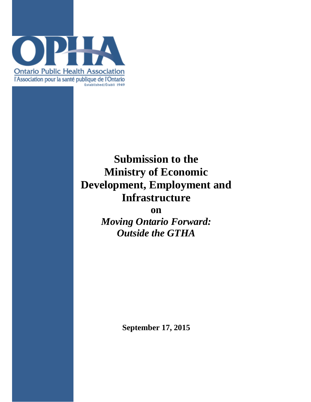

# **Submission to the Ministry of Economic Development, Employment and Infrastructure**

**on**

*Moving Ontario Forward: Outside the GTHA*

**September 17, 2015**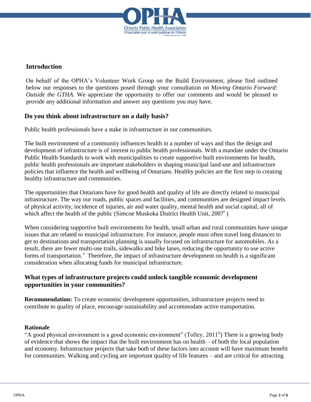

### **Introduction**

On behalf of the OPHA's Volunteer Work Group on the Build Environment, please find outlined below our responses to the questions posed through your consultation on M*oving Ontario Forward: Outside the GTHA.* We appreciate the opportunity to offer our comments and would be pleased to provide any additional information and answer any questions you may have.

## **Do you think about infrastructure on a daily basis?**

Public health professionals have a stake in infrastructure in our communities.

The built environment of a community influences health in a number of ways and thus the design and development of infrastructure is of interest to public health professionals. With a mandate under the Ontario Public Health Standards to work with municipalities to create supportive built environments for health, public health professionals are important stakeholders in shaping municipal land-use and infrastructure policies that influence the health and wellbeing of Ontarians. Healthy policies are the first step in creating healthy infrastructure and communities.

The opportunities that Ontarians have for good health and quality of life are directly related to municipal infrastructure. The way our roads, public spaces and facilities, and communities are designed impact levels of physical activity, incidence of injuries, air and water quality, mental health and social capital, all of which affect the health of the public (Simcoe Muskoka District Health Unit, 2007<sup>i</sup>)

When considering supportive built environments for health, small urban and rural communities have unique issues that are related to municipal infrastructure. For instance, people must often travel long distances to get to destinations and transportation planning is usually focused on infrastructure for automobiles. As a result, there are fewer multi-use trails, sidewalks and bike lanes, reducing the opportunity to use active forms of transportation.<sup>"</sup> Therefore, the impact of infrastructure development on health is a significant consideration when allocating funds for municipal infrastructure.

## **What types of infrastructure projects could unlock tangible economic development opportunities in your communities?**

**Recommendation:** To create economic development opportunities, infrastructure projects need to contribute to quality of place, encourage sustainability and accommodate active transportation.

#### **Rationale**

"A good physical environment is a good economic environment" (Tolley,  $2011^{\text{th}}$ ) There is a growing body of evidence that shows the impact that the built environment has on health – of both the local population and economy. Infrastructure projects that take both of these factors into account will have maximum benefit for communities. Walking and cycling are important quality of life features – and are critical for attracting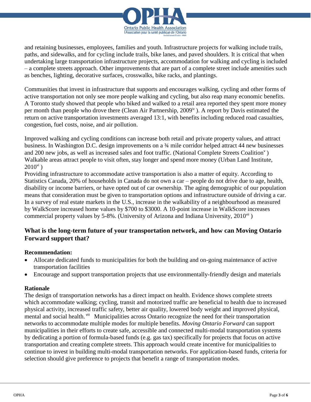

and retaining businesses, employees, families and youth. Infrastructure projects for walking include trails, paths, and sidewalks, and for cycling include trails, bike lanes, and paved shoulders. It is critical that when undertaking large transportation infrastructure projects, accommodation for walking and cycling is included – a complete streets approach. Other improvements that are part of a complete street include amenities such as benches, lighting, decorative surfaces, crosswalks, bike racks, and plantings.

Communities that invest in infrastructure that supports and encourages walking, cycling and other forms of active transportation not only see more people walking and cycling, but also reap many economic benefits. A Toronto study showed that people who biked and walked to a retail area reported they spent more money per month than people who drove there (Clean Air Partnership,  $2009^{\circ}$ ). A report by Davis estimated the return on active transportation investments averaged 13:1, with benefits including reduced road casualties, congestion, fuel costs, noise, and air pollution.

Improved walking and cycling conditions can increase both retail and private property values, and attract business. In Washington D.C. design improvements on a ¾ mile corridor helped attract 44 new businesses and 200 new jobs, as well as increased sales and foot traffic. (National Complete Streets Coalition<sup>v</sup>) Walkable areas attract people to visit often, stay longer and spend more money (Urban Land Institute,  $2010^{vi}$ )

Providing infrastructure to accommodate active transportation is also a matter of equity. According to Statistics Canada, 20% of households in Canada do not own a car – people do not drive due to age, health, disability or income barriers, or have opted out of car ownership. The aging demographic of our population means that consideration must be given to transportation options and infrastructure outside of driving a car. In a survey of real estate markets in the U.S., increase in the walkability of a neighbourhood as measured by WalkScore increased home values by \$700 to \$3000. A 10-point increase in WalkScore increases commercial property values by 5-8%. (University of Arizona and Indiana University,  $2010^{\text{vi}}$ )

# **What is the long-term future of your transportation network, and how can Moving Ontario Forward support that?**

#### **Recommendation:**

- Allocate dedicated funds to municipalities for both the building and on-going maintenance of active transportation facilities
- Encourage and support transportation projects that use environmentally-friendly design and materials

#### **Rationale**

The design of transportation networks has a direct impact on health. Evidence shows complete streets which accommodate walking; cycling, transit and motorized traffic are beneficial to health due to increased physical activity, increased traffic safety, better air quality, lowered body weight and improved physical, mental and social health.<sup>viii</sup> Municipalities across Ontario recognize the need for their transportation networks to accommodate multiple modes for multiple benefits. *Moving Ontario Forward* can support municipalities in their efforts to create safe, accessible and connected multi-modal transportation systems by dedicating a portion of formula-based funds (e.g. gas tax) specifically for projects that focus on active transportation and creating complete streets. This approach would create incentive for municipalities to continue to invest in building multi-modal transportation networks. For application-based funds, criteria for selection should give preference to projects that benefit a range of transportation modes.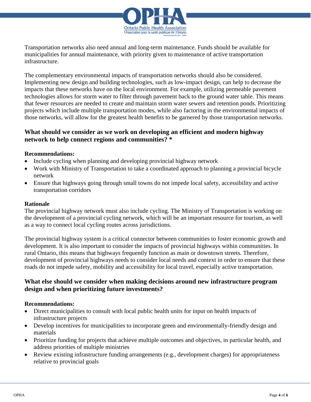

Transportation networks also need annual and long-term maintenance. Funds should be available for municipalities for annual maintenance, with priority given to maintenance of active transportation infrastructure.

The complementary environmental impacts of transportation networks should also be considered. Implementing new design and building technologies, such as low-impact design, can help to decrease the impacts that these networks have on the local environment. For example, utilizing permeable pavement technologies allows for storm water to filter through pavement back to the ground water table. This means that fewer resources are needed to create and maintain storm water sewers and retention ponds. Prioritizing projects which include multiple transportation modes, while also factoring in the environmental impacts of those networks, will allow for the greatest health benefits to be garnered by those transportation networks.

# **What should we consider as we work on developing an efficient and modern highway network to help connect regions and communities? \***

#### **Recommendations:**

- Include cycling when planning and developing provincial highway network
- Work with Ministry of Transportation to take a coordinated approach to planning a provincial bicycle network
- Ensure that highways going through small towns do not impede local safety, accessibility and active transportation corridors

#### **Rationale**

The provincial highway network must also include cycling. The Ministry of Transportation is working on the development of a provincial cycling network, which will be an important resource for tourism, as well as a way to connect local cycling routes across jurisdictions.

The provincial highway system is a critical connector between communities to foster economic growth and development. It is also important to consider the impacts of provincial highways within communities. In rural Ontario, this means that highways frequently function as main or downtown streets. Therefore, development of provincial highways needs to consider local needs and context in order to ensure that these roads do not impede safety, mobility and accessibility for local travel, especially active transportation.

# **What else should we consider when making decisions around new infrastructure program design and when prioritizing future investments?**

#### **Recommendations:**

- Direct municipalities to consult with local public health units for input on health impacts of infrastructure projects
- Develop incentives for municipalities to incorporate green and environmentally-friendly design and materials
- Prioritize funding for projects that achieve multiple outcomes and objectives, in particular health, and address priorities of multiple ministries
- Review existing infrastructure funding arrangements (e.g., development charges) for appropriateness relative to provincial goals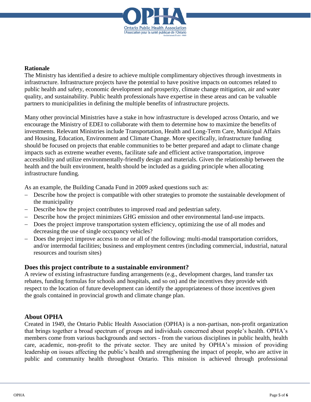

#### **Rationale**

The Ministry has identified a desire to achieve multiple complimentary objectives through investments in infrastructure. Infrastructure projects have the potential to have positive impacts on outcomes related to public health and safety, economic development and prosperity, climate change mitigation, air and water quality, and sustainability. Public health professionals have expertise in these areas and can be valuable partners to municipalities in defining the multiple benefits of infrastructure projects.

Many other provincial Ministries have a stake in how infrastructure is developed across Ontario, and we encourage the Ministry of EDEI to collaborate with them to determine how to maximize the benefits of investments. Relevant Ministries include Transportation, Health and Long-Term Care, Municipal Affairs and Housing, Education, Environment and Climate Change. More specifically, infrastructure funding should be focused on projects that enable communities to be better prepared and adapt to climate change impacts such as extreme weather events, facilitate safe and efficient active transportation, improve accessibility and utilize environmentally-friendly design and materials. Given the relationship between the health and the built environment, health should be included as a guiding principle when allocating infrastructure funding.

As an example, the Building Canada Fund in 2009 asked questions such as:

- Describe how the project is compatible with other strategies to promote the sustainable development of the municipality
- Describe how the project contributes to improved road and pedestrian safety.
- Describe how the project minimizes GHG emission and other environmental land-use impacts.
- Does the project improve transportation system efficiency, optimizing the use of all modes and decreasing the use of single occupancy vehicles?
- Does the project improve access to one or all of the following: multi-modal transportation corridors, and/or intermodal facilities; business and employment centres (including commercial, industrial, natural resources and tourism sites)

#### **Does this project contribute to a sustainable environment?**

A review of existing infrastructure funding arrangements (e.g., development charges, land transfer tax rebates, funding formulas for schools and hospitals, and so on) and the incentives they provide with respect to the location of future development can identify the appropriateness of those incentives given the goals contained in provincial growth and climate change plan.

#### **About OPHA**

Created in 1949, the Ontario Public Health Association (OPHA) is a non-partisan, non-profit organization that brings together a broad spectrum of groups and individuals concerned about people's health. OPHA's members come from various backgrounds and sectors - from the various disciplines in public health, health care, academic, non-profit to the private sector. They are united by OPHA's mission of providing leadership on issues affecting the public's health and strengthening the impact of people, who are active in public and community health throughout Ontario. This mission is achieved through professional